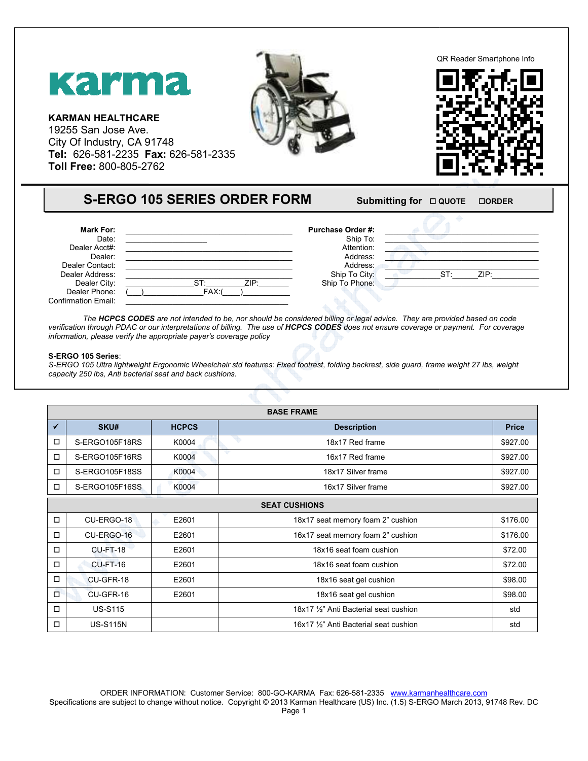## Karma

**KARMAN HEALTHCARE**  19255 San Jose Ave. City Of Industry, CA 91748 **Tel:** 626-581-2235 **Fax:** 626-581-2335 2335 **Toll Free:** 800-805-2762



QR Reader Smartphone Info Smartphone Info



## **S-ERGO 105 SERIES ORDER FORM**

## **FORM** Submitting for  $\Box$  QUOTE -**ORDER**

| Mark For:                  |                    | <b>Purchase Order #:</b> |     |      |  |
|----------------------------|--------------------|--------------------------|-----|------|--|
| Date:                      |                    | Ship To:                 |     |      |  |
| Dealer Acct#:              |                    | Attention:               |     |      |  |
| Dealer:                    |                    | Address:                 |     |      |  |
| Dealer Contact:            |                    | Address:                 |     |      |  |
| Dealer Address:            |                    | Ship To City:            | ST: | ZIP: |  |
| Dealer City:               | <b>CT.</b><br>ZIP: | Ship To Phone:           |     |      |  |
| Dealer Phone:              | FAX:               |                          |     |      |  |
| <b>Confirmation Email:</b> |                    |                          |     |      |  |

The **HCPCS CODES** are not intended to be, nor should be considered billing or legal advice. They are provided based on code The **HCPCS CODES** are not intended to be, nor should be considered billing or legal advice. They are provided based on code<br>verification through PDAC or our interpretations of billing. The use of **HCPCS CODES** does not ens *information, please verify the appropriate payer's coverage policy* 

## **S-ERGO 105 Series**:

S-ERGO 105 Ultra lightweight Ergonomic Wheelchair std features: Fixed footrest, folding backrest, side guard, frame weight 27 lbs, weight *capacity 250 lbs, Anti bacterial seat and back cushions. bacterial* 

|              | <b>BASE FRAME</b>    |              |                                        |              |  |  |
|--------------|----------------------|--------------|----------------------------------------|--------------|--|--|
| $\checkmark$ | SKU#                 | <b>HCPCS</b> | <b>Description</b>                     | <b>Price</b> |  |  |
| □            | S-ERGO105F18RS       | K0004        | 18x17 Red frame                        | \$927.00     |  |  |
| □            | S-ERGO105F16RS       | K0004        | v<br>16x17 Red frame                   | \$927.00     |  |  |
| $\Box$       | S-ERGO105F18SS       | K0004        | 18x17 Silver frame                     | \$927.00     |  |  |
| □            | S-ERGO105F16SS       | K0004        | 16x17 Silver frame                     | \$927.00     |  |  |
|              | <b>SEAT CUSHIONS</b> |              |                                        |              |  |  |
| □            | CU-ERGO-18           | E2601        | 18x17 seat memory foam 2" cushion      | \$176.00     |  |  |
| □            | CU-ERGO-16           | E2601        | 16x17 seat memory foam 2" cushion      | \$176.00     |  |  |
| $\Box$       | <b>CU-FT-18</b>      | E2601        | 18x16 seat foam cushion                | \$72.00      |  |  |
| $\Box$       | $CU-FT-16$           | E2601        | 18x16 seat foam cushion                | \$72.00      |  |  |
| $\Box$       | CU-GFR-18            | E2601        | 18x16 seat gel cushion                 | \$98.00      |  |  |
| $\Box$       | CU-GFR-16            | E2601        | 18x16 seat gel cushion                 | \$98.00      |  |  |
| □            | <b>US-S115</b>       |              | 18x17 1/2" Anti Bacterial seat cushion | std          |  |  |
| □            | <b>US-S115N</b>      |              | 16x17 1/2" Anti Bacterial seat cushion | std          |  |  |

ORDER INFORMATION: Customer Service: 800-GO-KARMA Fax: 626-581-2335 www.karmanhealthcare.com Specifications are subject to change without notice. Copyright © 2013 Karman Healthcare (US) Inc. (1.5) S-ERGO March 2013, 91748 Rev. DC